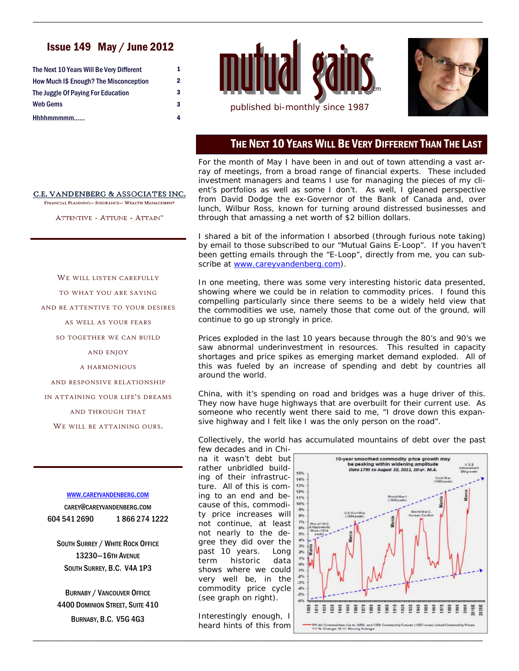# Issue 149 May / June 2012

| The Next 10 Years Will Be Very Different      | 1 |
|-----------------------------------------------|---|
| <b>How Much I\$ Enough? The Misconception</b> | 2 |
| The Juggle Of Paying For Education            | 3 |
| Web Gems                                      | 3 |
| Hhhhmmmmm                                     | 4 |



\_\_\_\_\_\_\_\_\_\_\_\_\_\_\_\_\_\_\_\_\_\_\_\_\_\_\_\_\_\_\_\_\_\_\_\_\_\_\_\_\_\_\_\_\_\_\_\_\_\_\_\_\_\_\_\_\_\_\_\_\_\_\_\_\_\_\_\_\_\_\_\_\_\_\_\_\_\_\_\_\_\_\_\_\_\_\_\_\_\_\_\_\_\_\_\_\_\_\_\_\_\_\_\_\_\_\_\_\_\_\_\_\_\_\_\_\_\_



### THE NEXT 10 YEARS WILL BE VERY DIFFERENT THAN THE LAST

For the month of May I have been in and out of town attending a vast array of meetings, from a broad range of financial experts. These included investment managers and teams I use for managing the pieces of my client's portfolios as well as some I don't. As well, I gleaned perspective from David Dodge the ex-Governor of the Bank of Canada and, over lunch, Wilbur Ross, known for turning around distressed businesses and through that amassing a net worth of \$2 billion dollars.

I shared a bit of the information I absorbed (through furious note taking) by email to those subscribed to our "Mutual Gains E-Loop". If you haven't been getting emails through the "E-Loop", directly from me, you can subscribe at www.careyvandenberg.com).

In one meeting, there was some very interesting historic data presented, showing where we could be in relation to commodity prices. I found this compelling particularly since there seems to be a widely held view that the commodities we use, namely those that come out of the ground, will continue to go up strongly in price.

Prices exploded in the last 10 years because through the 80's and 90's we saw abnormal underinvestment in resources. This resulted in capacity shortages and price spikes as emerging market demand exploded. All of this was fueled by an increase of spending and debt by countries all around the world.

China, with it's spending on road and bridges was a huge driver of this. They now have huge highways that are overbuilt for their current use. As someone who recently went there said to me, "I drove down this expansive highway and I felt like I was the only person on the road".

Collectively, the world has accumulated mountains of debt over the past few decades and in Chi-

na it wasn't debt but rather unbridled building of their infrastructure. All of this is coming to an end and because of this, commodity price increases will not continue, at least not nearly to the degree they did over the past 10 years. Long term historic data shows where we could very well be, in the commodity price cycle (see graph on right).

Interestingly enough, I heard hints of this from

\_\_\_\_\_\_\_\_\_\_\_\_\_\_\_\_\_\_\_\_\_\_\_\_\_\_\_\_\_\_\_\_\_\_\_\_\_\_\_\_\_\_\_\_\_\_\_\_\_\_\_\_\_\_\_\_\_\_\_\_\_\_\_\_\_\_\_\_\_\_\_\_\_\_\_\_\_\_\_\_\_\_\_\_\_\_\_\_\_\_\_\_\_\_\_\_\_\_\_\_\_\_\_\_\_\_\_\_\_\_\_\_\_\_\_\_\_\_



#### C.E. VANDENBERG & ASSOCIATES INC.

FINANCIAL PLANNING- INSURANCE- WEALTH MANAGEMENT

ATTENTIVE - ATTUNE - ATTAIN<sup>™</sup>

# TO WHAT YOU ARE SAYING AND BE ATTENTIVE TO YOUR DESIRES AS WELL AS YOUR FEARS SO TOGETHER WE CAN BUILD

WE WILL LISTEN CAREFULLY

AND ENJOY

A HARMONIOUS

AND RESPONSIVE RELATIONSHIP

IN ATTAINING YOUR LIFE'S DREAMS

AND THROUGH THAT

WE WILL BE ATTAINING OURS.

WWW.CAREYVANDENBERG.COM

CAREY@CAREYVANDENBERG.COM 604 541 2690 1 866 274 1222

SOUTH SURREY / WHITE ROCK OFFICE 13230—16TH AVENUE SOUTH SURREY, B.C. V4A 1P3

BURNABY / VANCOUVER OFFICE 4400 DOMINION STREET, SUITE 410 BURNABY, B.C. V5G 4G3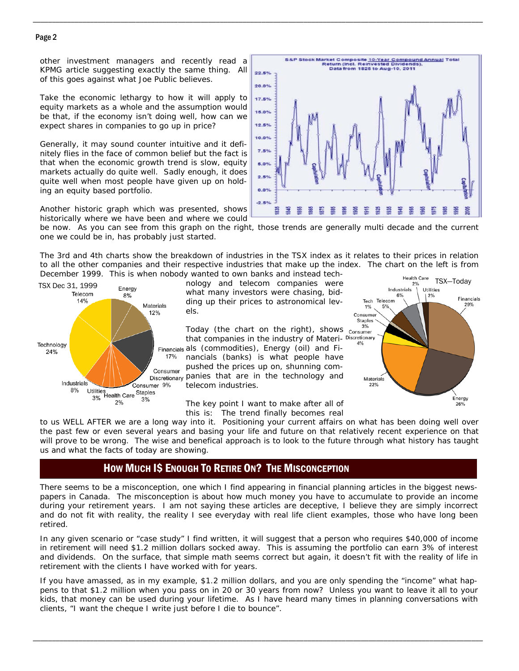#### Page 2

other investment managers and recently read a KPMG article suggesting exactly the same thing. All of this goes against what Joe Public believes.

Take the economic lethargy to how it will apply to equity markets as a whole and the assumption would be that, if the economy isn't doing well, how can we expect shares in companies to go up in price?

Generally, it may sound counter intuitive and it definitely flies in the face of common belief but the fact is that when the economic growth trend is slow, equity markets actually do quite well. Sadly enough, it does quite well when most people have given up on holding an equity based portfolio.



be now. As you can see from this graph on the right, those trends are generally multi decade and the current one we could be in, has probably just started.

\_\_\_\_\_\_\_\_\_\_\_\_\_\_\_\_\_\_\_\_\_\_\_\_\_\_\_\_\_\_\_\_\_\_\_\_\_\_\_\_\_\_\_\_\_\_\_\_\_\_\_\_\_\_\_\_\_\_\_\_\_\_\_\_\_\_\_\_\_\_\_\_\_\_\_\_\_\_\_\_\_\_\_\_\_\_\_\_\_\_\_\_\_\_\_\_\_\_\_\_\_\_\_\_\_\_\_\_\_\_\_\_\_\_\_\_\_\_

The 3rd and 4th charts show the breakdown of industries in the TSX index as it relates to their prices in relation to all the other companies and their respective industries that make up the index. The chart on the left is from December 1999. This is when nobody wanted to own banks and instead tech-



nology and telecom companies were the meaning result are TSX-Today what many investors were chasing, bidding up their prices to astronomical levels.

> Today (the chart on the right), shows  $\frac{3\%}{\text{Consume}}$ that companies in the industry of Materi- Discretionary Financials als (commodities), Energy (oil) and Financials (banks) is what people have pushed the prices up on, shunning companies that are in the technology and telecom industries.

> > The key point I want to make after all of this is: The trend finally becomes real



to us WELL AFTER we are a long way into it. Positioning your current affairs on what has been doing well over the past few or even several years and basing your life and future on that relatively recent experience on that will prove to be wrong. The wise and benefical approach is to look to the future through what history has taught us and what the facts of today are showing.

### HOW MUCH I\$ ENOUGH TO RETIRE ON? THE MISCONCEPTION

There seems to be a misconception, one which I find appearing in financial planning articles in the biggest newspapers in Canada. The misconception is about how much money you have to accumulate to provide an income during your retirement years. I am not saying these articles are deceptive, I believe they are simply incorrect and do not fit with reality, the reality I see everyday with real life client examples, those who have long been retired.

In any given scenario or "case study" I find written, it will suggest that a person who requires \$40,000 of income in retirement will need \$1.2 million dollars socked away. This is assuming the portfolio can earn 3% of interest and dividends. On the surface, that simple math seems correct but again, it doesn't fit with the reality of life in retirement with the clients I have worked with for years.

If you have amassed, as in my example, \$1.2 million dollars, and you are only spending the "income" what happens to that \$1.2 million when you pass on in 20 or 30 years from now? Unless you want to leave it all to your kids, that money can be used during your lifetime. As I have heard many times in planning conversations with clients, "I want the cheque I write just before I die to bounce".

\_\_\_\_\_\_\_\_\_\_\_\_\_\_\_\_\_\_\_\_\_\_\_\_\_\_\_\_\_\_\_\_\_\_\_\_\_\_\_\_\_\_\_\_\_\_\_\_\_\_\_\_\_\_\_\_\_\_\_\_\_\_\_\_\_\_\_\_\_\_\_\_\_\_\_\_\_\_\_\_\_\_\_\_\_\_\_\_\_\_\_\_\_\_\_\_\_\_\_\_\_\_\_\_\_\_\_\_\_\_\_\_\_\_\_\_\_\_

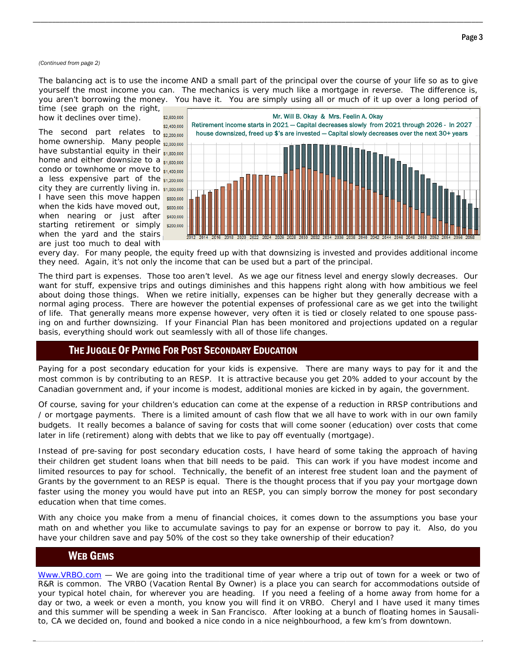#### *(Continued from page 2)*

The balancing act is to use the income AND a small part of the principal over the course of your life so as to give yourself the most income you can. The mechanics is very much like a mortgage in reverse. The difference is, you aren't borrowing the money. You have it. You are simply using all or much of it up over a long period of time (see graph on the right,

\_\_\_\_\_\_\_\_\_\_\_\_\_\_\_\_\_\_\_\_\_\_\_\_\_\_\_\_\_\_\_\_\_\_\_\_\_\_\_\_\_\_\_\_\_\_\_\_\_\_\_\_\_\_\_\_\_\_\_\_\_\_\_\_\_\_\_\_\_\_\_\_\_\_\_\_\_\_\_\_\_\_\_\_\_\_\_\_\_\_\_\_\_\_\_\_\_\_\_\_\_\_\_\_\_\_\_\_\_\_\_\_\_\_\_\_\_\_

how it declines over time).

The second part relates to  $\frac{22,200,000}{52,200,000}$ home ownership. Many people <sub>\$2,000,000</sub> have substantial equity in their  $s_{1,800,000}$ home and either downsize to a  $_{$1,600,000}$$ condo or townhome or move to  $_{$1,400,000}$$ a less expensive part of the  $s_{1,200,000}$ city they are currently living in. \$1,000,000 I have seen this move happen s800,000 when the kids have moved out, s600,000 when nearing or just after **\$400,000** starting retirement or simply \$200,000 when the yard and the stairs are just too much to deal with



every day. For many people, the equity freed up with that downsizing is invested and provides additional income they need. Again, it's not only the income that can be used but a part of the principal.

The third part is expenses. Those too aren't level. As we age our fitness level and energy slowly decreases. Our want for stuff, expensive trips and outings diminishes and this happens right along with how ambitious we feel about doing those things. When we retire initially, expenses can be higher but they generally decrease with a normal aging process. There are however the potential expenses of professional care as we get into the twilight of life. That generally means more expense however, very often it is tied or closely related to one spouse passing on and further downsizing. If your Financial Plan has been monitored and projections updated on a regular basis, everything should work out seamlessly with all of those life changes.

#### THE JUGGLE OF PAYING FOR POST SECONDARY EDUCATION

Paying for a post secondary education for your kids is expensive. There are many ways to pay for it and the most common is by contributing to an RESP. It is attractive because you get 20% added to your account by the Canadian government and, if your income is modest, additional monies are kicked in by again, the government.

Of course, saving for your children's education can come at the expense of a reduction in RRSP contributions and / or mortgage payments. There is a limited amount of cash flow that we all have to work with in our own family budgets. It really becomes a balance of saving for costs that will come sooner (education) over costs that come later in life (retirement) along with debts that we like to pay off eventually (mortgage).

Instead of pre-saving for post secondary education costs, I have heard of some taking the approach of having their children get student loans when that bill needs to be paid. This can work if you have modest income and limited resources to pay for school. Technically, the benefit of an interest free student loan and the payment of Grants by the government to an RESP is equal. There is the thought process that if you pay your mortgage down faster using the money you would have put into an RESP, you can simply borrow the money for post secondary education when that time comes.

With any choice you make from a menu of financial choices, it comes down to the assumptions you base your math on and whether you like to accumulate savings to pay for an expense or borrow to pay it. Also, do you have your children save and pay 50% of the cost so they take ownership of their education?

### WEB GEMS

Www.VRBO.com — We are going into the traditional time of year where a trip out of town for a week or two of R&R is common. The VRBO (Vacation Rental By Owner) is a place you can search for accommodations outside of your typical hotel chain, for wherever you are heading. If you need a feeling of a home away from home for a day or two, a week or even a month, you know you will find it on VRBO. Cheryl and I have used it many times and this summer will be spending a week in San Francisco. After looking at a bunch of floating homes in Sausalito, CA we decided on, found and booked a nice condo in a nice neighbourhood, a few km's from downtown.

\_\_\_\_\_\_\_\_\_\_\_\_\_\_\_\_\_\_\_\_\_\_\_\_\_\_\_\_\_\_\_\_\_\_\_\_\_\_\_\_\_\_\_\_\_\_\_\_\_\_\_\_\_\_\_\_\_\_\_\_\_\_\_\_\_\_\_\_\_\_\_\_\_\_\_\_\_\_\_\_\_\_\_\_\_\_\_\_\_\_\_\_\_\_\_\_\_\_\_\_\_\_\_\_\_\_\_\_\_\_\_\_\_\_\_\_\_\_